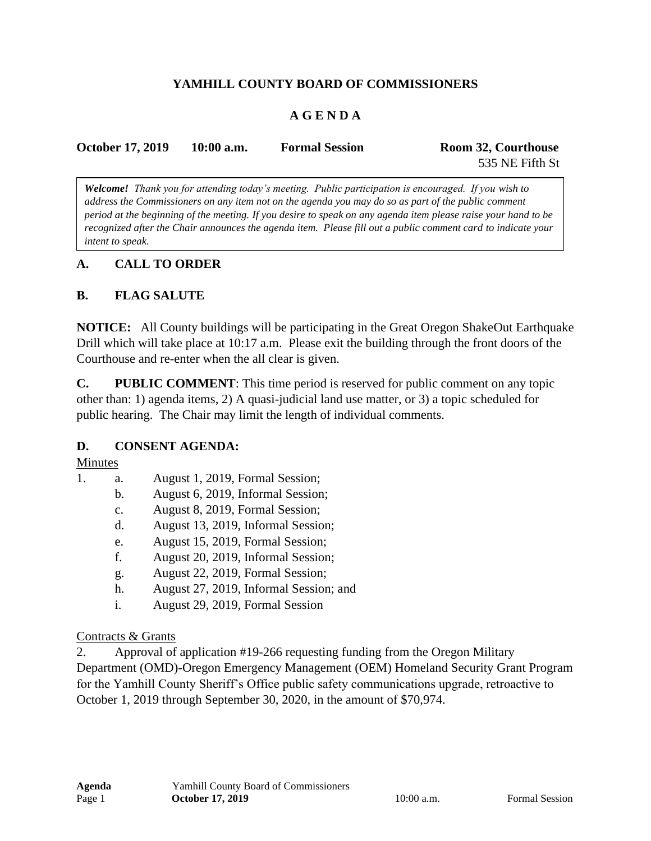## **YAMHILL COUNTY BOARD OF COMMISSIONERS**

## **A G E N D A**

| <b>October 17, 2019</b> | $10:00$ a.m. | <b>Formal Session</b> | Room 32, Courthouse |
|-------------------------|--------------|-----------------------|---------------------|
|                         |              |                       | 535 NE Fifth St     |

*Welcome! Thank you for attending today's meeting. Public participation is encouraged. If you wish to address the Commissioners on any item not on the agenda you may do so as part of the public comment period at the beginning of the meeting. If you desire to speak on any agenda item please raise your hand to be recognized after the Chair announces the agenda item. Please fill out a public comment card to indicate your intent to speak.*

#### **A. CALL TO ORDER**

#### **B. FLAG SALUTE**

**NOTICE:** All County buildings will be participating in the Great Oregon ShakeOut Earthquake Drill which will take place at 10:17 a.m. Please exit the building through the front doors of the Courthouse and re-enter when the all clear is given.

**C. PUBLIC COMMENT**: This time period is reserved for public comment on any topic other than: 1) agenda items, 2) A quasi-judicial land use matter, or 3) a topic scheduled for public hearing. The Chair may limit the length of individual comments.

#### **D. CONSENT AGENDA:**

#### Minutes

- 1. a. August 1, 2019, Formal Session;
	- b. August 6, 2019, Informal Session;
	- c. August 8, 2019, Formal Session;
	- d. August 13, 2019, Informal Session;
	- e. August 15, 2019, Formal Session;
	- f. August 20, 2019, Informal Session;
	- g. August 22, 2019, Formal Session;
	- h. August 27, 2019, Informal Session; and
	- i. August 29, 2019, Formal Session

#### Contracts & Grants

2. Approval of application #19-266 requesting funding from the Oregon Military Department (OMD)-Oregon Emergency Management (OEM) Homeland Security Grant Program for the Yamhill County Sheriff's Office public safety communications upgrade, retroactive to October 1, 2019 through September 30, 2020, in the amount of \$70,974.